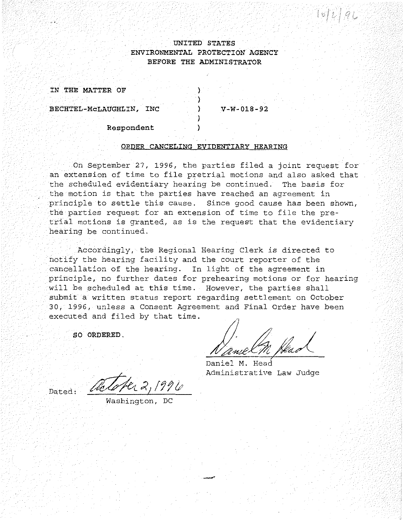## **UNITED STATES ENVIRONMENTAL PROTECTION AGENCY BEFORE THE ADMINISTRATOR**

) ) ) ) )

**IN THE MATTER OF** 

··-·-.

**BECHTEL-McLAUGHLIN, INC** 

**V-W-018-92** 

**Respondent** 

## **ORDER CANCELING EVIDENTIARY HEARING**

On September 27, 1996, the parties filed a joint request for an extension of time to file pretrial motions and also asked that the scheduled evidentiary hearing be continued. The basis for the motion is that the parties have reached an agreement in principle to settle this cause. Since good cause has been shown, the parties request for an extension of time to file the pretrial motions is granted, as is the request that the evidentiary hearing be continued.

Accordingly, the Regional Hearing Clerk is directed to notify the hearing facility and the court reporter of the cancellation of the hearing. In light of the agreement in principle, no further dates for prehearing motions or for hearing will be scheduled at this time. However, the parties shall submit a written status report regarding settlement on October 30, 1996, unless a Consent Agreement and Final Order have been executed and filed by that time.

-

**SO ORDERED.** 

Dated:

Name (M Head )<br>paniel M. Head

Daniel M. Head Administrative Law Judge

Washington, DC